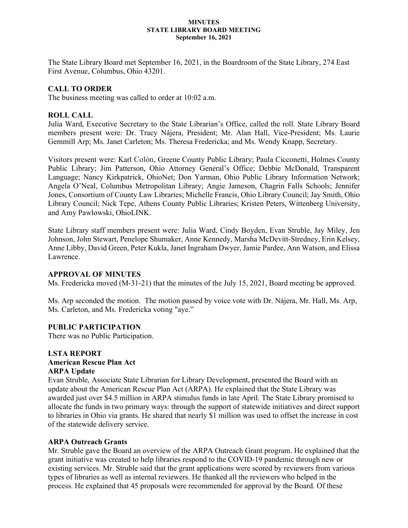#### **MINUTES STATE LIBRARY BOARD MEETING September 16, 2021**

The State Library Board met September 16, 2021, in the Boardroom of the State Library, 274 East First Avenue, Columbus, Ohio 43201.

# **CALL TO ORDER**

The business meeting was called to order at 10:02 a.m.

# **ROLL CALL**

Julia Ward, Executive Secretary to the State Librarian's Office, called the roll. State Library Board members present were: Dr. Tracy Nájera, President; Mr. Alan Hall, Vice-President; Ms. Laurie Gemmill Arp; Ms. Janet Carleton; Ms. Theresa Fredericka; and Ms. Wendy Knapp, Secretary.

Visitors present were: Karl Colón, Greene County Public Library; Paula Cicconetti, Holmes County Public Library; Jim Patterson, Ohio Attorney General's Office; Debbie McDonald, Transparent Language; Nancy Kirkpatrick, OhioNet; Don Yarman, Ohio Public Library Information Network; Angela O'Neal, Columbus Metropolitan Library; Angie Jameson, Chagrin Falls Schools; Jennifer Jones, Consortium of County Law Libraries; Michelle Francis, Ohio Library Council; Jay Smith, Ohio Library Council; Nick Tepe, Athens County Public Libraries; Kristen Peters, Wittenberg University, and Amy Pawlowski, OhioLINK.

State Library staff members present were: Julia Ward, Cindy Boyden, Evan Struble, Jay Miley, Jen Johnson, John Stewart, Penelope Shumaker, Anne Kennedy, Marsha McDevitt-Stredney, Erin Kelsey, Anne Libby, David Green, Peter Kukla, Janet Ingraham Dwyer, Jamie Pardee, Ann Watson, and Elissa Lawrence.

## **APPROVAL OF MINUTES**

Ms. Fredericka moved (M-31-21) that the minutes of the July 15, 2021, Board meeting be approved.

Ms. Arp seconded the motion. The motion passed by voice vote with Dr. Nájera, Mr. Hall, Ms. Arp, Ms. Carleton, and Ms. Fredericka voting "aye."

## **PUBLIC PARTICIPATION**

There was no Public Participation.

## **LSTA REPORT American Rescue Plan Act ARPA Update**

Evan Struble, Associate State Librarian for Library Development, presented the Board with an update about the American Rescue Plan Act (ARPA). He explained that the State Library was awarded just over \$4.5 million in ARPA stimulus funds in late April. The State Library promised to allocate the funds in two primary ways: through the support of statewide initiatives and direct support to libraries in Ohio via grants. He shared that nearly \$1 million was used to offset the increase in cost of the statewide delivery service.

## **ARPA Outreach Grants**

Mr. Struble gave the Board an overview of the ARPA Outreach Grant program. He explained that the grant initiative was created to help libraries respond to the COVID-19 pandemic through new or existing services. Mr. Struble said that the grant applications were scored by reviewers from various types of libraries as well as internal reviewers. He thanked all the reviewers who helped in the process. He explained that 45 proposals were recommended for approval by the Board. Of these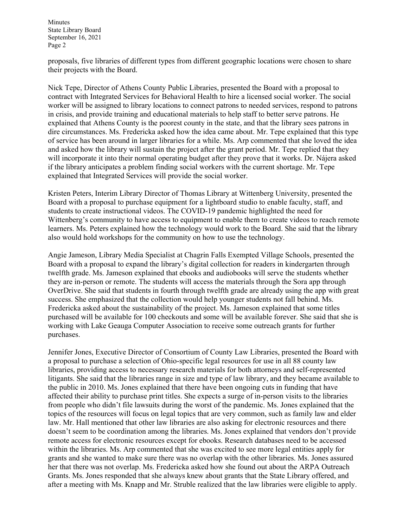proposals, five libraries of different types from different geographic locations were chosen to share their projects with the Board.

Nick Tepe, Director of Athens County Public Libraries, presented the Board with a proposal to contract with Integrated Services for Behavioral Health to hire a licensed social worker. The social worker will be assigned to library locations to connect patrons to needed services, respond to patrons in crisis, and provide training and educational materials to help staff to better serve patrons. He explained that Athens County is the poorest county in the state, and that the library sees patrons in dire circumstances. Ms. Fredericka asked how the idea came about. Mr. Tepe explained that this type of service has been around in larger libraries for a while. Ms. Arp commented that she loved the idea and asked how the library will sustain the project after the grant period. Mr. Tepe replied that they will incorporate it into their normal operating budget after they prove that it works. Dr. Nájera asked if the library anticipates a problem finding social workers with the current shortage. Mr. Tepe explained that Integrated Services will provide the social worker.

Kristen Peters, Interim Library Director of Thomas Library at Wittenberg University, presented the Board with a proposal to purchase equipment for a lightboard studio to enable faculty, staff, and students to create instructional videos. The COVID-19 pandemic highlighted the need for Wittenberg's community to have access to equipment to enable them to create videos to reach remote learners. Ms. Peters explained how the technology would work to the Board. She said that the library also would hold workshops for the community on how to use the technology.

Angie Jameson, Library Media Specialist at Chagrin Falls Exempted Village Schools, presented the Board with a proposal to expand the library's digital collection for readers in kindergarten through twelfth grade. Ms. Jameson explained that ebooks and audiobooks will serve the students whether they are in-person or remote. The students will access the materials through the Sora app through OverDrive. She said that students in fourth through twelfth grade are already using the app with great success. She emphasized that the collection would help younger students not fall behind. Ms. Fredericka asked about the sustainability of the project. Ms. Jameson explained that some titles purchased will be available for 100 checkouts and some will be available forever. She said that she is working with Lake Geauga Computer Association to receive some outreach grants for further purchases.

Jennifer Jones, Executive Director of Consortium of County Law Libraries, presented the Board with a proposal to purchase a selection of Ohio-specific legal resources for use in all 88 county law libraries, providing access to necessary research materials for both attorneys and self-represented litigants. She said that the libraries range in size and type of law library, and they became available to the public in 2010. Ms. Jones explained that there have been ongoing cuts in funding that have affected their ability to purchase print titles. She expects a surge of in-person visits to the libraries from people who didn't file lawsuits during the worst of the pandemic. Ms. Jones explained that the topics of the resources will focus on legal topics that are very common, such as family law and elder law. Mr. Hall mentioned that other law libraries are also asking for electronic resources and there doesn't seem to be coordination among the libraries. Ms. Jones explained that vendors don't provide remote access for electronic resources except for ebooks. Research databases need to be accessed within the libraries. Ms. Arp commented that she was excited to see more legal entities apply for grants and she wanted to make sure there was no overlap with the other libraries. Ms. Jones assured her that there was not overlap. Ms. Fredericka asked how she found out about the ARPA Outreach Grants. Ms. Jones responded that she always knew about grants that the State Library offered, and after a meeting with Ms. Knapp and Mr. Struble realized that the law libraries were eligible to apply.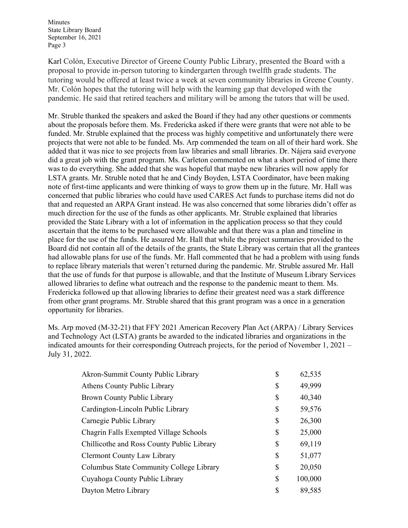Karl Colón, Executive Director of Greene County Public Library, presented the Board with a proposal to provide in-person tutoring to kindergarten through twelfth grade students. The tutoring would be offered at least twice a week at seven community libraries in Greene County. Mr. Colón hopes that the tutoring will help with the learning gap that developed with the pandemic. He said that retired teachers and military will be among the tutors that will be used.

Mr. Struble thanked the speakers and asked the Board if they had any other questions or comments about the proposals before them. Ms. Fredericka asked if there were grants that were not able to be funded. Mr. Struble explained that the process was highly competitive and unfortunately there were projects that were not able to be funded. Ms. Arp commended the team on all of their hard work. She added that it was nice to see projects from law libraries and small libraries. Dr. Nájera said everyone did a great job with the grant program. Ms. Carleton commented on what a short period of time there was to do everything. She added that she was hopeful that maybe new libraries will now apply for LSTA grants. Mr. Struble noted that he and Cindy Boyden, LSTA Coordinator, have been making note of first-time applicants and were thinking of ways to grow them up in the future. Mr. Hall was concerned that public libraries who could have used CARES Act funds to purchase items did not do that and requested an ARPA Grant instead. He was also concerned that some libraries didn't offer as much direction for the use of the funds as other applicants. Mr. Struble explained that libraries provided the State Library with a lot of information in the application process so that they could ascertain that the items to be purchased were allowable and that there was a plan and timeline in place for the use of the funds. He assured Mr. Hall that while the project summaries provided to the Board did not contain all of the details of the grants, the State Library was certain that all the grantees had allowable plans for use of the funds. Mr. Hall commented that he had a problem with using funds to replace library materials that weren't returned during the pandemic. Mr. Struble assured Mr. Hall that the use of funds for that purpose is allowable, and that the Institute of Museum Library Services allowed libraries to define what outreach and the response to the pandemic meant to them. Ms. Fredericka followed up that allowing libraries to define their greatest need was a stark difference from other grant programs. Mr. Struble shared that this grant program was a once in a generation opportunity for libraries.

Ms. Arp moved (M-32-21) that FFY 2021 American Recovery Plan Act (ARPA) / Library Services and Technology Act (LSTA) grants be awarded to the indicated libraries and organizations in the indicated amounts for their corresponding Outreach projects, for the period of November 1, 2021 – July 31, 2022.

| Akron-Summit County Public Library         | \$<br>62,535  |
|--------------------------------------------|---------------|
| Athens County Public Library               | \$<br>49,999  |
| Brown County Public Library                | \$<br>40,340  |
| Cardington-Lincoln Public Library          | \$<br>59,576  |
| Carnegie Public Library                    | \$<br>26,300  |
| Chagrin Falls Exempted Village Schools     | \$<br>25,000  |
| Chillicothe and Ross County Public Library | \$<br>69,119  |
| <b>Clermont County Law Library</b>         | \$<br>51,077  |
| Columbus State Community College Library   | \$<br>20,050  |
| Cuyahoga County Public Library             | \$<br>100,000 |
| Dayton Metro Library                       | \$<br>89,585  |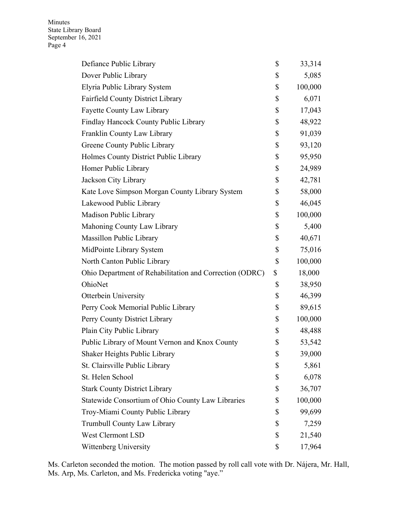| Defiance Public Library                                 | \$<br>33,314  |
|---------------------------------------------------------|---------------|
| Dover Public Library                                    | \$<br>5,085   |
| Elyria Public Library System                            | \$<br>100,000 |
| Fairfield County District Library                       | \$<br>6,071   |
| <b>Fayette County Law Library</b>                       | \$<br>17,043  |
| Findlay Hancock County Public Library                   | \$<br>48,922  |
| Franklin County Law Library                             | \$<br>91,039  |
| Greene County Public Library                            | \$<br>93,120  |
| Holmes County District Public Library                   | \$<br>95,950  |
| Homer Public Library                                    | \$<br>24,989  |
| Jackson City Library                                    | \$<br>42,781  |
| Kate Love Simpson Morgan County Library System          | \$<br>58,000  |
| Lakewood Public Library                                 | \$<br>46,045  |
| Madison Public Library                                  | \$<br>100,000 |
| Mahoning County Law Library                             | \$<br>5,400   |
| Massillon Public Library                                | \$<br>40,671  |
| MidPointe Library System                                | \$<br>75,016  |
| North Canton Public Library                             | \$<br>100,000 |
| Ohio Department of Rehabilitation and Correction (ODRC) | \$<br>18,000  |
| OhioNet                                                 | \$<br>38,950  |
| <b>Otterbein University</b>                             | \$<br>46,399  |
| Perry Cook Memorial Public Library                      | \$<br>89,615  |
| Perry County District Library                           | \$<br>100,000 |
| Plain City Public Library                               | \$<br>48,488  |
| Public Library of Mount Vernon and Knox County          | \$<br>53,542  |
| Shaker Heights Public Library                           | \$<br>39,000  |
| St. Clairsville Public Library                          | \$<br>5,861   |
| St. Helen School                                        | \$<br>6,078   |
| <b>Stark County District Library</b>                    | \$<br>36,707  |
| Statewide Consortium of Ohio County Law Libraries       | \$<br>100,000 |
| Troy-Miami County Public Library                        | \$<br>99,699  |
| <b>Trumbull County Law Library</b>                      | \$<br>7,259   |
| <b>West Clermont LSD</b>                                | \$<br>21,540  |
| Wittenberg University                                   | \$<br>17,964  |

Ms. Carleton seconded the motion. The motion passed by roll call vote with Dr. Nájera, Mr. Hall, Ms. Arp, Ms. Carleton, and Ms. Fredericka voting "aye."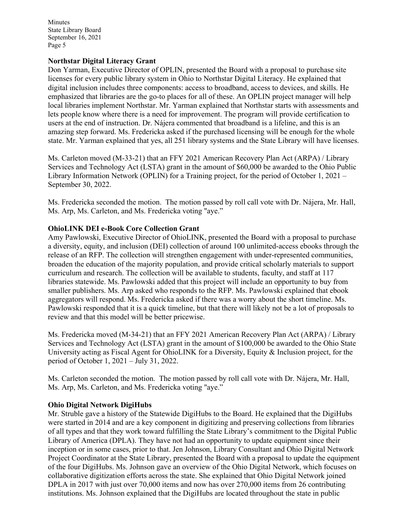#### **Northstar Digital Literacy Grant**

Don Yarman, Executive Director of OPLIN, presented the Board with a proposal to purchase site licenses for every public library system in Ohio to Northstar Digital Literacy. He explained that digital inclusion includes three components: access to broadband, access to devices, and skills. He emphasized that libraries are the go-to places for all of these. An OPLIN project manager will help local libraries implement Northstar. Mr. Yarman explained that Northstar starts with assessments and lets people know where there is a need for improvement. The program will provide certification to users at the end of instruction. Dr. Nájera commented that broadband is a lifeline, and this is an amazing step forward. Ms. Fredericka asked if the purchased licensing will be enough for the whole state. Mr. Yarman explained that yes, all 251 library systems and the State Library will have licenses.

Ms. Carleton moved (M-33-21) that an FFY 2021 American Recovery Plan Act (ARPA) / Library Services and Technology Act (LSTA) grant in the amount of \$60,000 be awarded to the Ohio Public Library Information Network (OPLIN) for a Training project, for the period of October 1, 2021 – September 30, 2022.

Ms. Fredericka seconded the motion. The motion passed by roll call vote with Dr. Nájera, Mr. Hall, Ms. Arp, Ms. Carleton, and Ms. Fredericka voting "aye."

#### **OhioLINK DEI e-Book Core Collection Grant**

Amy Pawlowski, Executive Director of OhioLINK, presented the Board with a proposal to purchase a diversity, equity, and inclusion (DEI) collection of around 100 unlimited-access ebooks through the release of an RFP. The collection will strengthen engagement with under-represented communities, broaden the education of the majority population, and provide critical scholarly materials to support curriculum and research. The collection will be available to students, faculty, and staff at 117 libraries statewide. Ms. Pawlowski added that this project will include an opportunity to buy from smaller publishers. Ms. Arp asked who responds to the RFP. Ms. Pawlowski explained that ebook aggregators will respond. Ms. Fredericka asked if there was a worry about the short timeline. Ms. Pawlowski responded that it is a quick timeline, but that there will likely not be a lot of proposals to review and that this model will be better pricewise.

Ms. Fredericka moved (M-34-21) that an FFY 2021 American Recovery Plan Act (ARPA) / Library Services and Technology Act (LSTA) grant in the amount of \$100,000 be awarded to the Ohio State University acting as Fiscal Agent for OhioLINK for a Diversity, Equity & Inclusion project, for the period of October 1, 2021 – July 31, 2022.

Ms. Carleton seconded the motion. The motion passed by roll call vote with Dr. Nájera, Mr. Hall, Ms. Arp, Ms. Carleton, and Ms. Fredericka voting "aye."

## **Ohio Digital Network DigiHubs**

Mr. Struble gave a history of the Statewide DigiHubs to the Board. He explained that the DigiHubs were started in 2014 and are a key component in digitizing and preserving collections from libraries of all types and that they work toward fulfilling the State Library's commitment to the Digital Public Library of America (DPLA). They have not had an opportunity to update equipment since their inception or in some cases, prior to that. Jen Johnson, Library Consultant and Ohio Digital Network Project Coordinator at the State Library, presented the Board with a proposal to update the equipment of the four DigiHubs. Ms. Johnson gave an overview of the Ohio Digital Network, which focuses on collaborative digitization efforts across the state. She explained that Ohio Digital Network joined DPLA in 2017 with just over 70,000 items and now has over 270,000 items from 26 contributing institutions. Ms. Johnson explained that the DigiHubs are located throughout the state in public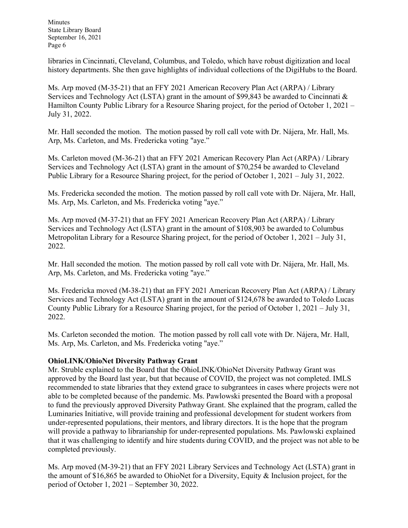libraries in Cincinnati, Cleveland, Columbus, and Toledo, which have robust digitization and local history departments. She then gave highlights of individual collections of the DigiHubs to the Board.

Ms. Arp moved (M-35-21) that an FFY 2021 American Recovery Plan Act (ARPA) / Library Services and Technology Act (LSTA) grant in the amount of \$99,843 be awarded to Cincinnati & Hamilton County Public Library for a Resource Sharing project, for the period of October 1, 2021 – July 31, 2022.

Mr. Hall seconded the motion. The motion passed by roll call vote with Dr. Nájera, Mr. Hall, Ms. Arp, Ms. Carleton, and Ms. Fredericka voting "aye."

Ms. Carleton moved (M-36-21) that an FFY 2021 American Recovery Plan Act (ARPA) / Library Services and Technology Act (LSTA) grant in the amount of \$70,254 be awarded to Cleveland Public Library for a Resource Sharing project, for the period of October 1, 2021 – July 31, 2022.

Ms. Fredericka seconded the motion. The motion passed by roll call vote with Dr. Nájera, Mr. Hall, Ms. Arp, Ms. Carleton, and Ms. Fredericka voting "aye."

Ms. Arp moved (M-37-21) that an FFY 2021 American Recovery Plan Act (ARPA) / Library Services and Technology Act (LSTA) grant in the amount of \$108,903 be awarded to Columbus Metropolitan Library for a Resource Sharing project, for the period of October 1, 2021 – July 31, 2022.

Mr. Hall seconded the motion. The motion passed by roll call vote with Dr. Nájera, Mr. Hall, Ms. Arp, Ms. Carleton, and Ms. Fredericka voting "aye."

Ms. Fredericka moved (M-38-21) that an FFY 2021 American Recovery Plan Act (ARPA) / Library Services and Technology Act (LSTA) grant in the amount of \$124,678 be awarded to Toledo Lucas County Public Library for a Resource Sharing project, for the period of October 1, 2021 – July 31, 2022.

Ms. Carleton seconded the motion. The motion passed by roll call vote with Dr. Nájera, Mr. Hall, Ms. Arp, Ms. Carleton, and Ms. Fredericka voting "aye."

## **OhioLINK/OhioNet Diversity Pathway Grant**

Mr. Struble explained to the Board that the OhioLINK/OhioNet Diversity Pathway Grant was approved by the Board last year, but that because of COVID, the project was not completed. IMLS recommended to state libraries that they extend grace to subgrantees in cases where projects were not able to be completed because of the pandemic. Ms. Pawlowski presented the Board with a proposal to fund the previously approved Diversity Pathway Grant. She explained that the program, called the Luminaries Initiative, will provide training and professional development for student workers from under-represented populations, their mentors, and library directors. It is the hope that the program will provide a pathway to librarianship for under-represented populations. Ms. Pawlowski explained that it was challenging to identify and hire students during COVID, and the project was not able to be completed previously.

Ms. Arp moved (M-39-21) that an FFY 2021 Library Services and Technology Act (LSTA) grant in the amount of \$16,865 be awarded to OhioNet for a Diversity, Equity & Inclusion project, for the period of October 1, 2021 – September 30, 2022.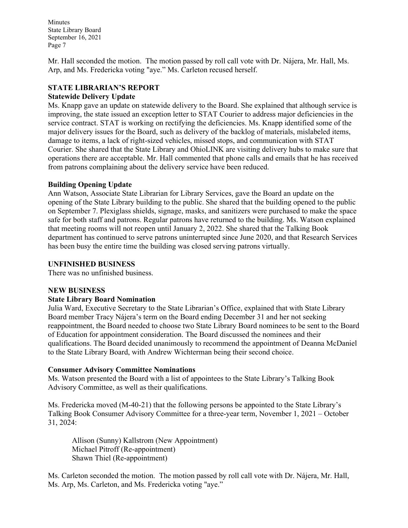Mr. Hall seconded the motion. The motion passed by roll call vote with Dr. Nájera, Mr. Hall, Ms. Arp, and Ms. Fredericka voting "aye." Ms. Carleton recused herself.

# **STATE LIBRARIAN'S REPORT Statewide Delivery Update**

Ms. Knapp gave an update on statewide delivery to the Board. She explained that although service is improving, the state issued an exception letter to STAT Courier to address major deficiencies in the service contract. STAT is working on rectifying the deficiencies. Ms. Knapp identified some of the major delivery issues for the Board, such as delivery of the backlog of materials, mislabeled items, damage to items, a lack of right-sized vehicles, missed stops, and communication with STAT Courier. She shared that the State Library and OhioLINK are visiting delivery hubs to make sure that operations there are acceptable. Mr. Hall commented that phone calls and emails that he has received from patrons complaining about the delivery service have been reduced.

## **Building Opening Update**

Ann Watson, Associate State Librarian for Library Services, gave the Board an update on the opening of the State Library building to the public. She shared that the building opened to the public on September 7. Plexiglass shields, signage, masks, and sanitizers were purchased to make the space safe for both staff and patrons. Regular patrons have returned to the building. Ms. Watson explained that meeting rooms will not reopen until January 2, 2022. She shared that the Talking Book department has continued to serve patrons uninterrupted since June 2020, and that Research Services has been busy the entire time the building was closed serving patrons virtually.

# **UNFINISHED BUSINESS**

There was no unfinished business.

## **NEW BUSINESS**

## **State Library Board Nomination**

Julia Ward, Executive Secretary to the State Librarian's Office, explained that with State Library Board member Tracy Nájera's term on the Board ending December 31 and her not seeking reappointment, the Board needed to choose two State Library Board nominees to be sent to the Board of Education for appointment consideration. The Board discussed the nominees and their qualifications. The Board decided unanimously to recommend the appointment of Deanna McDaniel to the State Library Board, with Andrew Wichterman being their second choice.

## **Consumer Advisory Committee Nominations**

Ms. Watson presented the Board with a list of appointees to the State Library's Talking Book Advisory Committee, as well as their qualifications.

Ms. Fredericka moved (M-40-21) that the following persons be appointed to the State Library's Talking Book Consumer Advisory Committee for a three-year term, November 1, 2021 – October 31, 2024:

Allison (Sunny) Kallstrom (New Appointment) Michael Pitroff (Re-appointment) Shawn Thiel (Re-appointment)

Ms. Carleton seconded the motion. The motion passed by roll call vote with Dr. Nájera, Mr. Hall, Ms. Arp, Ms. Carleton, and Ms. Fredericka voting "aye."